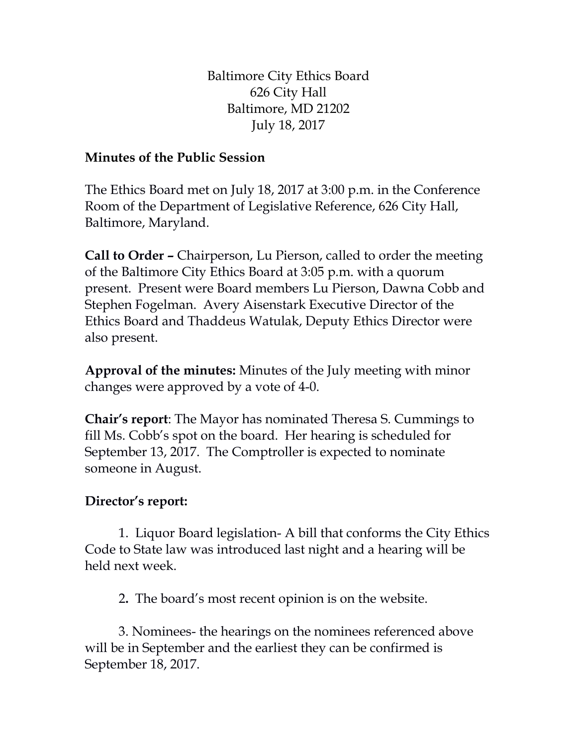Baltimore City Ethics Board 626 City Hall Baltimore, MD 21202 July 18, 2017

## **Minutes of the Public Session**

The Ethics Board met on July 18, 2017 at 3:00 p.m. in the Conference Room of the Department of Legislative Reference, 626 City Hall, Baltimore, Maryland.

**Call to Order –** Chairperson, Lu Pierson, called to order the meeting of the Baltimore City Ethics Board at 3:05 p.m. with a quorum present. Present were Board members Lu Pierson, Dawna Cobb and Stephen Fogelman. Avery Aisenstark Executive Director of the Ethics Board and Thaddeus Watulak, Deputy Ethics Director were also present.

**Approval of the minutes:** Minutes of the July meeting with minor changes were approved by a vote of 4-0.

**Chair's report**: The Mayor has nominated Theresa S. Cummings to fill Ms. Cobb's spot on the board. Her hearing is scheduled for September 13, 2017. The Comptroller is expected to nominate someone in August.

## **Director's report:**

1. Liquor Board legislation- A bill that conforms the City Ethics Code to State law was introduced last night and a hearing will be held next week.

2**.** The board's most recent opinion is on the website.

3. Nominees- the hearings on the nominees referenced above will be in September and the earliest they can be confirmed is September 18, 2017.